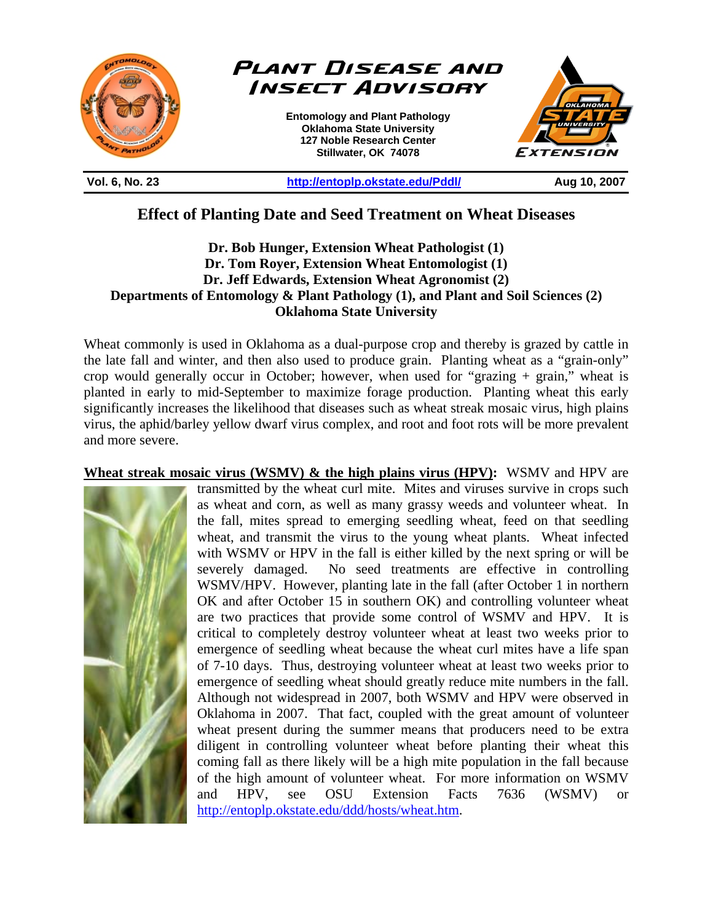

**Vol. 6, No. 23 http://entoplp.okstate.edu/Pddl/ Aug 10, 2007** 

## **Effect of Planting Date and Seed Treatment on Wheat Diseases**

## **Dr. Bob Hunger, Extension Wheat Pathologist (1) Dr. Tom Royer, Extension Wheat Entomologist (1) Dr. Jeff Edwards, Extension Wheat Agronomist (2) Departments of Entomology & Plant Pathology (1), and Plant and Soil Sciences (2) Oklahoma State University**

Wheat commonly is used in Oklahoma as a dual-purpose crop and thereby is grazed by cattle in the late fall and winter, and then also used to produce grain. Planting wheat as a "grain-only" crop would generally occur in October; however, when used for "grazing + grain," wheat is planted in early to mid-September to maximize forage production. Planting wheat this early significantly increases the likelihood that diseases such as wheat streak mosaic virus, high plains virus, the aphid/barley yellow dwarf virus complex, and root and foot rots will be more prevalent and more severe.

## **Wheat streak mosaic virus (WSMV) & the high plains virus (HPV):** WSMV and HPV are



transmitted by the wheat curl mite. Mites and viruses survive in crops such as wheat and corn, as well as many grassy weeds and volunteer wheat. In the fall, mites spread to emerging seedling wheat, feed on that seedling wheat, and transmit the virus to the young wheat plants. Wheat infected with WSMV or HPV in the fall is either killed by the next spring or will be severely damaged. No seed treatments are effective in controlling WSMV/HPV. However, planting late in the fall (after October 1 in northern OK and after October 15 in southern OK) and controlling volunteer wheat are two practices that provide some control of WSMV and HPV. It is critical to completely destroy volunteer wheat at least two weeks prior to emergence of seedling wheat because the wheat curl mites have a life span of 7-10 days. Thus, destroying volunteer wheat at least two weeks prior to emergence of seedling wheat should greatly reduce mite numbers in the fall. Although not widespread in 2007, both WSMV and HPV were observed in Oklahoma in 2007. That fact, coupled with the great amount of volunteer wheat present during the summer means that producers need to be extra diligent in controlling volunteer wheat before planting their wheat this coming fall as there likely will be a high mite population in the fall because of the high amount of volunteer wheat. For more information on WSMV and HPV, see OSU Extension Facts 7636 (WSMV) or http://entoplp.okstate.edu/ddd/hosts/wheat.htm.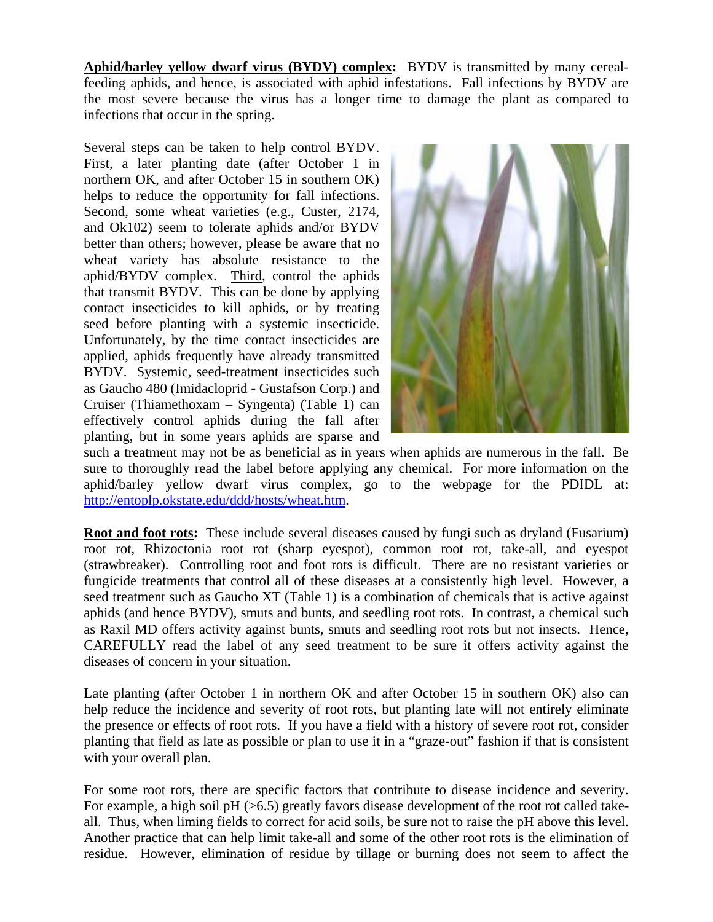**Aphid/barley yellow dwarf virus (BYDV) complex:** BYDV is transmitted by many cerealfeeding aphids, and hence, is associated with aphid infestations. Fall infections by BYDV are the most severe because the virus has a longer time to damage the plant as compared to infections that occur in the spring.

Several steps can be taken to help control BYDV. First, a later planting date (after October 1 in northern OK, and after October 15 in southern OK) helps to reduce the opportunity for fall infections. Second, some wheat varieties (e.g., Custer, 2174, and Ok102) seem to tolerate aphids and/or BYDV better than others; however, please be aware that no wheat variety has absolute resistance to the aphid/BYDV complex. Third, control the aphids that transmit BYDV. This can be done by applying contact insecticides to kill aphids, or by treating seed before planting with a systemic insecticide. Unfortunately, by the time contact insecticides are applied, aphids frequently have already transmitted BYDV. Systemic, seed-treatment insecticides such as Gaucho 480 (Imidacloprid - Gustafson Corp.) and Cruiser (Thiamethoxam – Syngenta) (Table 1) can effectively control aphids during the fall after planting, but in some years aphids are sparse and



such a treatment may not be as beneficial as in years when aphids are numerous in the fall. Be sure to thoroughly read the label before applying any chemical. For more information on the aphid/barley yellow dwarf virus complex, go to the webpage for the PDIDL at: http://entoplp.okstate.edu/ddd/hosts/wheat.htm.

**Root and foot rots:** These include several diseases caused by fungi such as dryland (Fusarium) root rot, Rhizoctonia root rot (sharp eyespot), common root rot, take-all, and eyespot (strawbreaker). Controlling root and foot rots is difficult. There are no resistant varieties or fungicide treatments that control all of these diseases at a consistently high level. However, a seed treatment such as Gaucho XT (Table 1) is a combination of chemicals that is active against aphids (and hence BYDV), smuts and bunts, and seedling root rots. In contrast, a chemical such as Raxil MD offers activity against bunts, smuts and seedling root rots but not insects. Hence, CAREFULLY read the label of any seed treatment to be sure it offers activity against the diseases of concern in your situation.

Late planting (after October 1 in northern OK and after October 15 in southern OK) also can help reduce the incidence and severity of root rots, but planting late will not entirely eliminate the presence or effects of root rots. If you have a field with a history of severe root rot, consider planting that field as late as possible or plan to use it in a "graze-out" fashion if that is consistent with your overall plan.

For some root rots, there are specific factors that contribute to disease incidence and severity. For example, a high soil pH  $(>6.5)$  greatly favors disease development of the root rot called takeall. Thus, when liming fields to correct for acid soils, be sure not to raise the pH above this level. Another practice that can help limit take-all and some of the other root rots is the elimination of residue. However, elimination of residue by tillage or burning does not seem to affect the